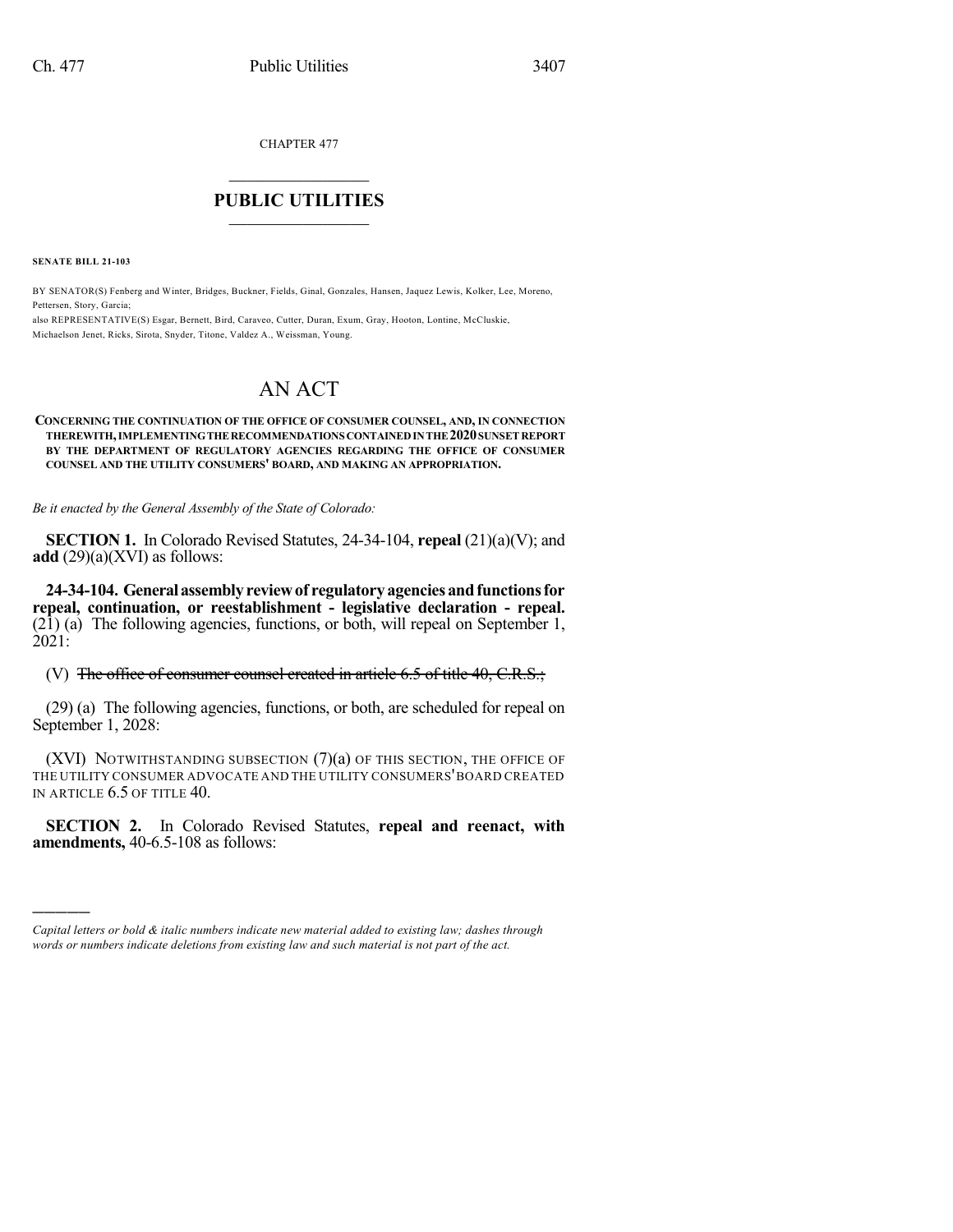CHAPTER 477

# $\mathcal{L}_\text{max}$  . The set of the set of the set of the set of the set of the set of the set of the set of the set of the set of the set of the set of the set of the set of the set of the set of the set of the set of the set **PUBLIC UTILITIES** \_\_\_\_\_\_\_\_\_\_\_\_\_\_\_

**SENATE BILL 21-103**

)))))

BY SENATOR(S) Fenberg and Winter, Bridges, Buckner, Fields, Ginal, Gonzales, Hansen, Jaquez Lewis, Kolker, Lee, Moreno, Pettersen, Story, Garcia;

also REPRESENTATIVE(S) Esgar, Bernett, Bird, Caraveo, Cutter, Duran, Exum, Gray, Hooton, Lontine, McCluskie, Michaelson Jenet, Ricks, Sirota, Snyder, Titone, Valdez A., Weissman, Young.

# AN ACT

#### **CONCERNING THE CONTINUATION OF THE OFFICE OF CONSUMER COUNSEL, AND, IN CONNECTION THEREWITH,IMPLEMENTINGTHERECOMMENDATIONS CONTAINEDINTHE2020SUNSETREPORT BY THE DEPARTMENT OF REGULATORY AGENCIES REGARDING THE OFFICE OF CONSUMER COUNSEL AND THE UTILITY CONSUMERS' BOARD, AND MAKING AN APPROPRIATION.**

*Be it enacted by the General Assembly of the State of Colorado:*

**SECTION 1.** In Colorado Revised Statutes, 24-34-104, **repeal** (21)(a)(V); and **add**  $(29)(a)(XVI)$  as follows:

**24-34-104. Generalassemblyreviewof regulatoryagenciesandfunctionsfor repeal, continuation, or reestablishment - legislative declaration - repeal.** (21) (a) The following agencies, functions, or both, will repeal on September 1, 2021:

(V) The office of consumer counsel created in article 6.5 of title 40, C.R.S.;

(29) (a) The following agencies, functions, or both, are scheduled for repeal on September 1, 2028:

(XVI) NOTWITHSTANDING SUBSECTION (7)(a) OF THIS SECTION, THE OFFICE OF THE UTILITY CONSUMER ADVOCATE AND THE UTILITY CONSUMERS'BOARD CREATED IN ARTICLE 6.5 OF TITLE 40.

**SECTION 2.** In Colorado Revised Statutes, **repeal and reenact, with amendments,** 40-6.5-108 as follows:

*Capital letters or bold & italic numbers indicate new material added to existing law; dashes through words or numbers indicate deletions from existing law and such material is not part of the act.*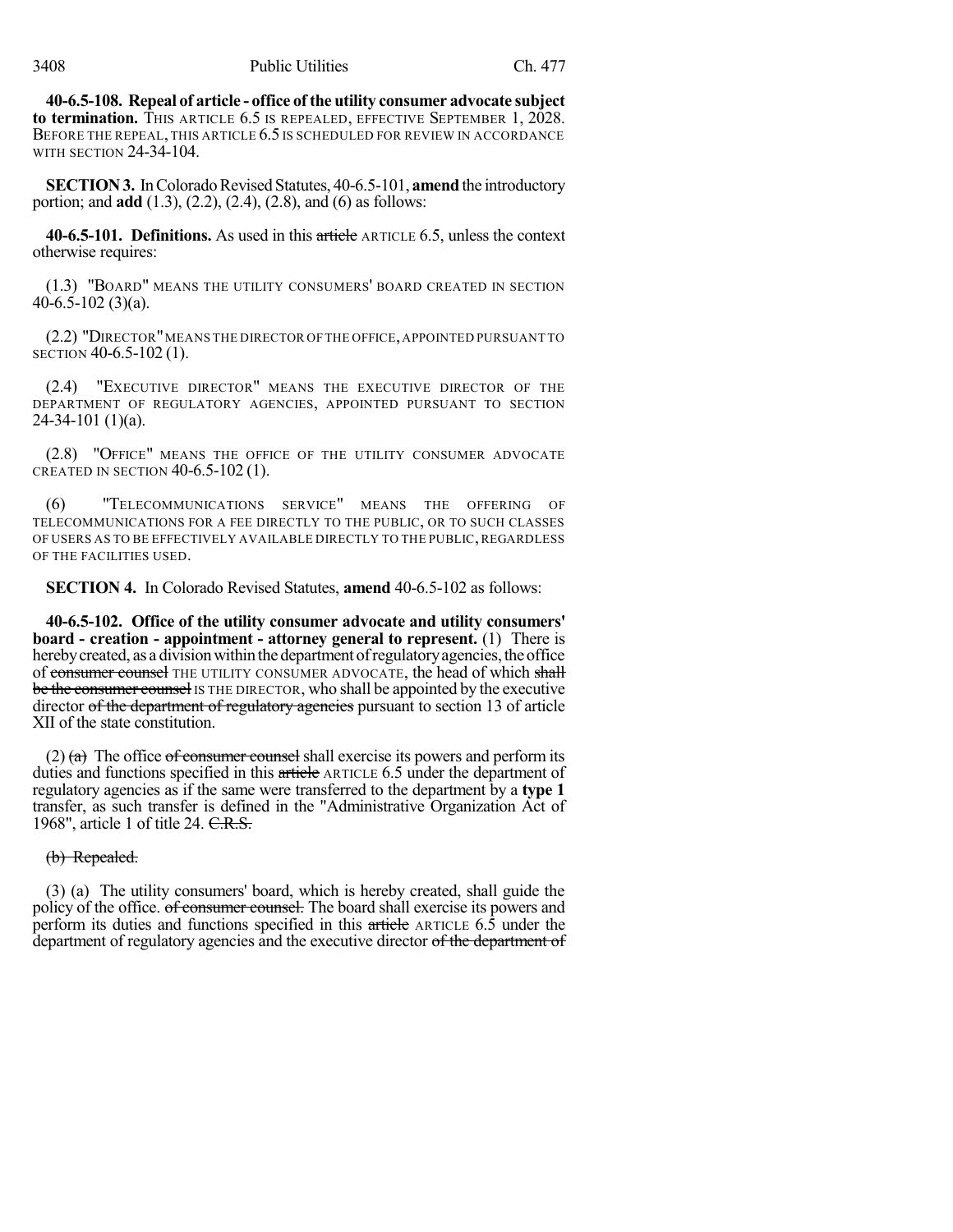**40-6.5-108. Repeal of article - office ofthe utility consumer advocate subject to termination.** THIS ARTICLE 6.5 IS REPEALED, EFFECTIVE SEPTEMBER 1, 2028. BEFORE THE REPEAL, THIS ARTICLE 6.5 IS SCHEDULED FOR REVIEW IN ACCORDANCE WITH SECTION 24-34-104.

**SECTION 3.** In Colorado Revised Statutes, 40-6.5-101, **amend** the introductory portion; and **add** (1.3), (2.2), (2.4), (2.8), and (6) as follows:

**40-6.5-101. Definitions.** As used in this article ARTICLE 6.5, unless the context otherwise requires:

(1.3) "BOARD" MEANS THE UTILITY CONSUMERS' BOARD CREATED IN SECTION 40-6.5-102 (3)(a).

(2.2) "DIRECTOR"MEANS THE DIRECTOR OF THE OFFICE,APPOINTED PURSUANT TO SECTION 40-6.5-102 (1).

(2.4) "EXECUTIVE DIRECTOR" MEANS THE EXECUTIVE DIRECTOR OF THE DEPARTMENT OF REGULATORY AGENCIES, APPOINTED PURSUANT TO SECTION 24-34-101 (1)(a).

(2.8) "OFFICE" MEANS THE OFFICE OF THE UTILITY CONSUMER ADVOCATE CREATED IN SECTION 40-6.5-102 (1).

(6) "TELECOMMUNICATIONS SERVICE" MEANS THE OFFERING OF TELECOMMUNICATIONS FOR A FEE DIRECTLY TO THE PUBLIC, OR TO SUCH CLASSES OF USERS AS TO BE EFFECTIVELY AVAILABLE DIRECTLY TO THE PUBLIC, REGARDLESS OF THE FACILITIES USED.

**SECTION 4.** In Colorado Revised Statutes, **amend** 40-6.5-102 as follows:

**40-6.5-102. Office of the utility consumer advocate and utility consumers' board - creation - appointment - attorney general to represent.** (1) There is hereby created, as a division within the department of regulatory agencies, the office of consumer counsel THE UTILITY CONSUMER ADVOCATE, the head of which shall be the consumer counsel IS THE DIRECTOR, who shall be appointed by the executive director of the department of regulatory agencies pursuant to section 13 of article XII of the state constitution.

(2)  $(a)$  The office of consumer counsel shall exercise its powers and perform its duties and functions specified in this article ARTICLE 6.5 under the department of regulatory agencies as if the same were transferred to the department by a **type 1** transfer, as such transfer is defined in the "Administrative Organization Act of 1968", article 1 of title 24. C.R.S.

(b) Repealed.

(3) (a) The utility consumers' board, which is hereby created, shall guide the policy of the office. of consumer counsel. The board shall exercise its powers and perform its duties and functions specified in this article ARTICLE 6.5 under the department of regulatory agencies and the executive director of the department of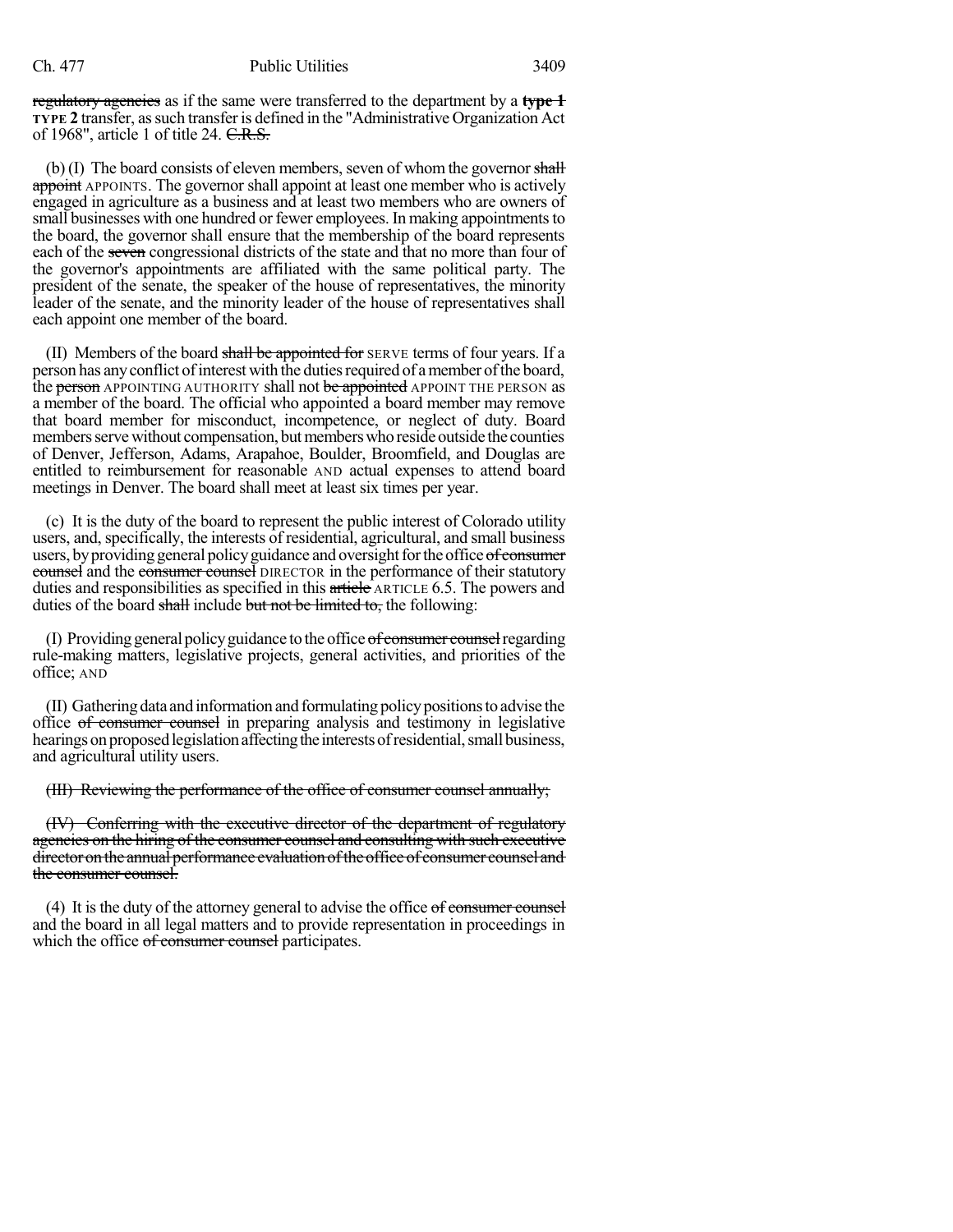regulatory agencies as if the same were transferred to the department by a **type 1 TYPE 2** transfer, assuch transferis defined in the "Administrative Organization Act of 1968", article 1 of title 24. C.R.S.

 $(b)$  (I) The board consists of eleven members, seven of whom the governor shall appoint APPOINTS. The governor shall appoint at least one member who is actively engaged in agriculture as a business and at least two members who are owners of small businesses with one hundred or fewer employees. In making appointments to the board, the governor shall ensure that the membership of the board represents each of the seven congressional districts of the state and that no more than four of the governor's appointments are affiliated with the same political party. The president of the senate, the speaker of the house of representatives, the minority leader of the senate, and the minority leader of the house of representatives shall each appoint one member of the board.

(II) Members of the board shall be appointed for SERVE terms of four years. If a person has any conflict of interest with the duties required of a member of the board, the **person** APPOINTING AUTHORITY shall not be appointed APPOINT THE PERSON as a member of the board. The official who appointed a board member may remove that board member for misconduct, incompetence, or neglect of duty. Board members serve without compensation, but members who reside outside the counties of Denver, Jefferson, Adams, Arapahoe, Boulder, Broomfield, and Douglas are entitled to reimbursement for reasonable AND actual expenses to attend board meetings in Denver. The board shall meet at least six times per year.

(c) It is the duty of the board to represent the public interest of Colorado utility users, and, specifically, the interests of residential, agricultural, and small business users, by providing general policy guidance and oversight for the office of consumer counsel and the consumer counsel DIRECTOR in the performance of their statutory duties and responsibilities as specified in this article ARTICLE 6.5. The powers and duties of the board shall include but not be limited to, the following:

(I) Providing general policy guidance to the office of consumer counsel regarding rule-making matters, legislative projects, general activities, and priorities of the office; AND

(II) Gatheringdata andinformation and formulating policypositionsto advise the office of consumer counsel in preparing analysis and testimony in legislative hearings on proposed legislation affecting the interests of residential, small business, and agricultural utility users.

(III) Reviewing the performance of the office of consumer counsel annually;

(IV) Conferring with the executive director of the department of regulatory agencies on the hiring of the consumer counsel and consulting with such executive director on the annual performance evaluation of the office of consumer counsel and the consumer counsel.

(4) It is the duty of the attorney general to advise the office  $\sigma f$  consumer counsel and the board in all legal matters and to provide representation in proceedings in which the office of consumer counsel participates.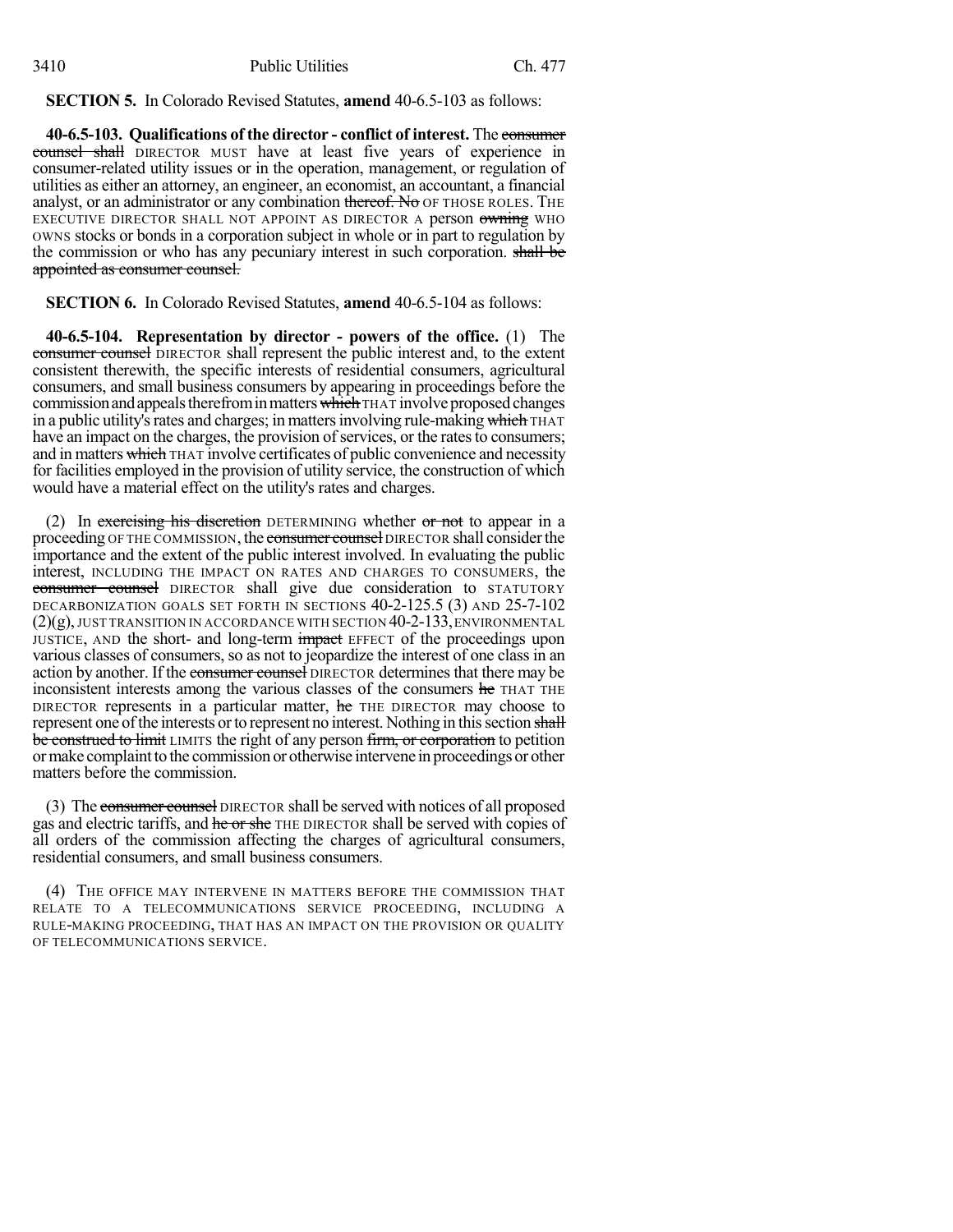**SECTION 5.** In Colorado Revised Statutes, **amend** 40-6.5-103 as follows:

**40-6.5-103. Qualifications of the director - conflict of interest.** The consumer counsel shall DIRECTOR MUST have at least five years of experience in consumer-related utility issues or in the operation, management, or regulation of utilities as either an attorney, an engineer, an economist, an accountant, a financial analyst, or an administrator or any combination thereof. No OF THOSE ROLES. THE EXECUTIVE DIRECTOR SHALL NOT APPOINT AS DIRECTOR A person owning WHO OWNS stocks or bonds in a corporation subject in whole or in part to regulation by the commission or who has any pecuniary interest in such corporation. shall be appointed as consumer counsel.

**SECTION 6.** In Colorado Revised Statutes, **amend** 40-6.5-104 as follows:

**40-6.5-104. Representation by director - powers of the office.** (1) The consumer counsel DIRECTOR shall represent the public interest and, to the extent consistent therewith, the specific interests of residential consumers, agricultural consumers, and small business consumers by appearing in proceedings before the commission and appeals therefrom in matters which THAT involve proposed changes in a public utility's rates and charges; in matters involving rule-making which THAT have an impact on the charges, the provision of services, or the rates to consumers; and in matters which THAT involve certificates of public convenience and necessity for facilities employed in the provision of utility service, the construction of which would have a material effect on the utility's rates and charges.

(2) In exercising his discretion DETERMINING whether or not to appear in a proceeding OF THE COMMISSION, the consumer counsel DIRECTOR shall consider the importance and the extent of the public interest involved. In evaluating the public interest, INCLUDING THE IMPACT ON RATES AND CHARGES TO CONSUMERS, the consumer counsel DIRECTOR shall give due consideration to STATUTORY DECARBONIZATION GOALS SET FORTH IN SECTIONS 40-2-125.5 (3) AND 25-7-102 (2)(g), JUST TRANSITION IN ACCORDANCE WITH SECTION 40-2-133,ENVIRONMENTAL JUSTICE, AND the short- and long-term impact EFFECT of the proceedings upon various classes of consumers, so as not to jeopardize the interest of one class in an action by another. If the consumer counsel DIRECTOR determines that there may be inconsistent interests among the various classes of the consumers he THAT THE DIRECTOR represents in a particular matter, he THE DIRECTOR may choose to represent one of the interests or to represent no interest. Nothing in this section shall be construed to limit LIMITS the right of any person firm, or corporation to petition ormake complaintto the commission or otherwise intervene in proceedings or other matters before the commission.

(3) The consumer counsel DIRECTOR shall be served with notices of all proposed gas and electric tariffs, and he or she THE DIRECTOR shall be served with copies of all orders of the commission affecting the charges of agricultural consumers, residential consumers, and small business consumers.

(4) THE OFFICE MAY INTERVENE IN MATTERS BEFORE THE COMMISSION THAT RELATE TO A TELECOMMUNICATIONS SERVICE PROCEEDING, INCLUDING A RULE-MAKING PROCEEDING, THAT HAS AN IMPACT ON THE PROVISION OR QUALITY OF TELECOMMUNICATIONS SERVICE.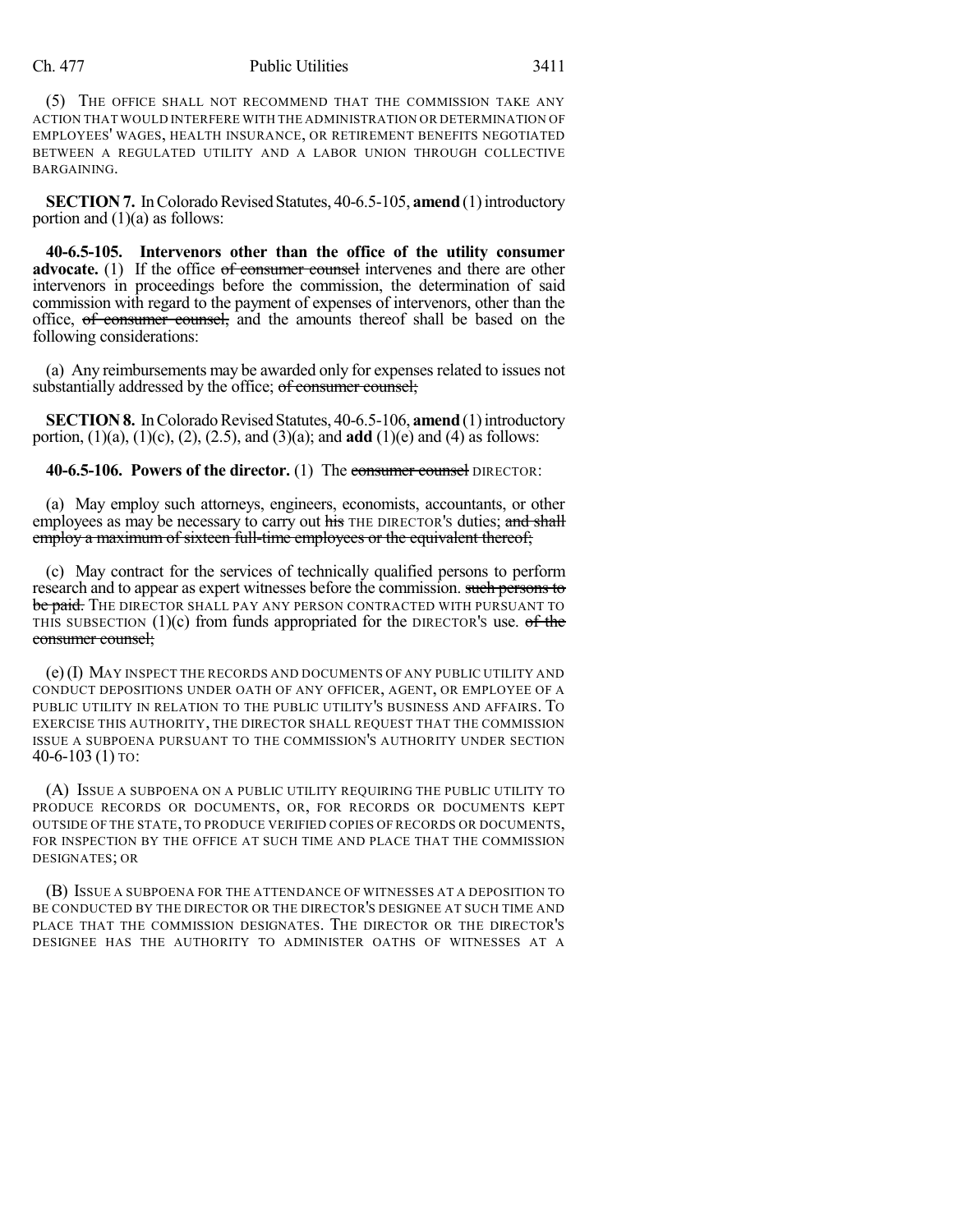## Ch. 477 Public Utilities 3411

(5) THE OFFICE SHALL NOT RECOMMEND THAT THE COMMISSION TAKE ANY ACTION THAT WOULD INTERFERE WITH THE ADMINISTRATION OR DETERMINATION OF EMPLOYEES' WAGES, HEALTH INSURANCE, OR RETIREMENT BENEFITS NEGOTIATED BETWEEN A REGULATED UTILITY AND A LABOR UNION THROUGH COLLECTIVE BARGAINING.

**SECTION 7.** In Colorado Revised Statutes, 40-6.5-105, **amend** (1) introductory portion and  $(1)(a)$  as follows:

**40-6.5-105. Intervenors other than the office of the utility consumer advocate.** (1) If the office of consumer counsel intervenes and there are other intervenors in proceedings before the commission, the determination of said commission with regard to the payment of expenses of intervenors, other than the office, of consumer counsel, and the amounts thereof shall be based on the following considerations:

(a) Any reimbursements may be awarded only for expenses related to issues not substantially addressed by the office; of consumer counsel;

**SECTION 8.** In Colorado Revised Statutes, 40-6.5-106, **amend** (1) introductory portion, (1)(a), (1)(c), (2), (2.5), and (3)(a); and **add** (1)(e) and (4) as follows:

**40-6.5-106. Powers of the director.** (1) The consumer counsel DIRECTOR:

(a) May employ such attorneys, engineers, economists, accountants, or other employees as may be necessary to carry out his THE DIRECTOR's duties; and shall employ a maximum of sixteen full-time employees or the equivalent thereof;

(c) May contract for the services of technically qualified persons to perform research and to appear as expert witnesses before the commission. such persons to be paid. THE DIRECTOR SHALL PAY ANY PERSON CONTRACTED WITH PURSUANT TO THIS SUBSECTION  $(1)(c)$  from funds appropriated for the DIRECTOR's use. of the consumer counsel;

(e)(I) MAY INSPECT THE RECORDS AND DOCUMENTS OF ANY PUBLIC UTILITY AND CONDUCT DEPOSITIONS UNDER OATH OF ANY OFFICER, AGENT, OR EMPLOYEE OF A PUBLIC UTILITY IN RELATION TO THE PUBLIC UTILITY'S BUSINESS AND AFFAIRS. TO EXERCISE THIS AUTHORITY, THE DIRECTOR SHALL REQUEST THAT THE COMMISSION ISSUE A SUBPOENA PURSUANT TO THE COMMISSION'S AUTHORITY UNDER SECTION 40-6-103 (1) TO:

(A) ISSUE A SUBPOENA ON A PUBLIC UTILITY REQUIRING THE PUBLIC UTILITY TO PRODUCE RECORDS OR DOCUMENTS, OR, FOR RECORDS OR DOCUMENTS KEPT OUTSIDE OF THE STATE, TO PRODUCE VERIFIED COPIES OF RECORDS OR DOCUMENTS, FOR INSPECTION BY THE OFFICE AT SUCH TIME AND PLACE THAT THE COMMISSION DESIGNATES; OR

(B) ISSUE A SUBPOENA FOR THE ATTENDANCE OF WITNESSES AT A DEPOSITION TO BE CONDUCTED BY THE DIRECTOR OR THE DIRECTOR'S DESIGNEE AT SUCH TIME AND PLACE THAT THE COMMISSION DESIGNATES. THE DIRECTOR OR THE DIRECTOR'S DESIGNEE HAS THE AUTHORITY TO ADMINISTER OATHS OF WITNESSES AT A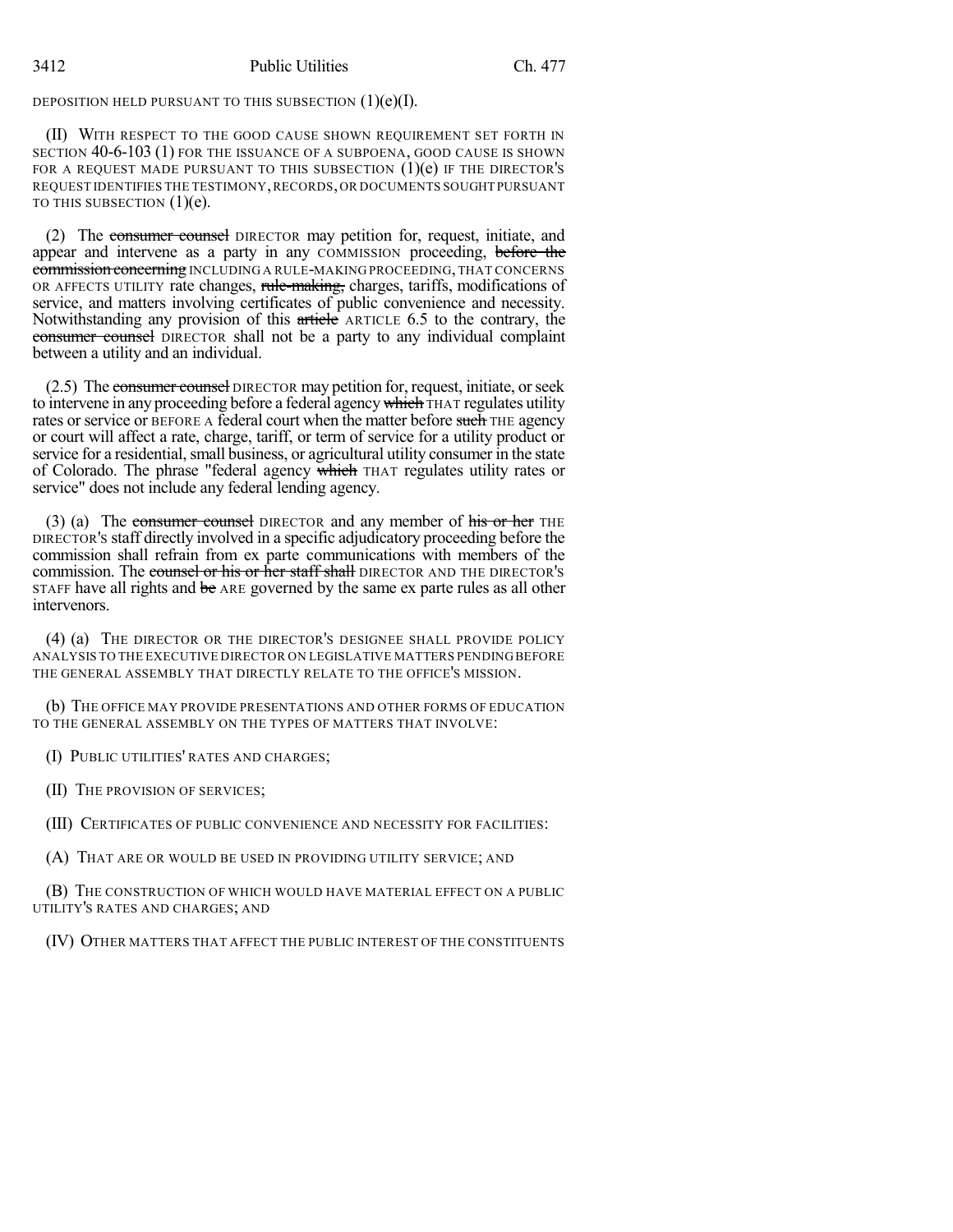DEPOSITION HELD PURSUANT TO THIS SUBSECTION  $(1)(e)(I)$ .

(II) WITH RESPECT TO THE GOOD CAUSE SHOWN REQUIREMENT SET FORTH IN SECTION 40-6-103 (1) FOR THE ISSUANCE OF A SUBPOENA, GOOD CAUSE IS SHOWN FOR A REQUEST MADE PURSUANT TO THIS SUBSECTION  $(1)(e)$  if the DIRECTOR's REQUEST IDENTIFIES THE TESTIMONY,RECORDS,OR DOCUMENTS SOUGHT PURSUANT TO THIS SUBSECTION  $(1)(e)$ .

(2) The consumer counsel DIRECTOR may petition for, request, initiate, and appear and intervene as a party in any COMMISSION proceeding, before the commission concerning INCLUDING A RULE-MAKING PROCEEDING, THAT CONCERNS OR AFFECTS UTILITY rate changes, rule-making, charges, tariffs, modifications of service, and matters involving certificates of public convenience and necessity. Notwithstanding any provision of this article ARTICLE 6.5 to the contrary, the consumer counsel DIRECTOR shall not be a party to any individual complaint between a utility and an individual.

(2.5) The consumer counsel DIRECTOR may petition for, request, initiate, or seek to intervene in any proceeding before a federal agency which THAT regulates utility rates or service or BEFORE A federal court when the matter before such THE agency or court will affect a rate, charge, tariff, or term of service for a utility product or service for a residential, small business, or agricultural utility consumer in the state of Colorado. The phrase "federal agency which THAT regulates utility rates or service" does not include any federal lending agency.

(3) (a) The consumer counsel DIRECTOR and any member of his or her THE DIRECTOR'S staff directly involved in a specific adjudicatory proceeding before the commission shall refrain from ex parte communications with members of the commission. The counsel or his or her staff shall DIRECTOR AND THE DIRECTOR'S STAFF have all rights and be ARE governed by the same ex parte rules as all other intervenors.

(4) (a) THE DIRECTOR OR THE DIRECTOR'S DESIGNEE SHALL PROVIDE POLICY ANALYSIS TO THE EXECUTIVE DIRECTOR ON LEGISLATIVE MATTERS PENDINGBEFORE THE GENERAL ASSEMBLY THAT DIRECTLY RELATE TO THE OFFICE'S MISSION.

(b) THE OFFICE MAY PROVIDE PRESENTATIONS AND OTHER FORMS OF EDUCATION TO THE GENERAL ASSEMBLY ON THE TYPES OF MATTERS THAT INVOLVE:

(I) PUBLIC UTILITIES' RATES AND CHARGES;

(II) THE PROVISION OF SERVICES;

(III) CERTIFICATES OF PUBLIC CONVENIENCE AND NECESSITY FOR FACILITIES:

(A) THAT ARE OR WOULD BE USED IN PROVIDING UTILITY SERVICE; AND

(B) THE CONSTRUCTION OF WHICH WOULD HAVE MATERIAL EFFECT ON A PUBLIC UTILITY'S RATES AND CHARGES; AND

(IV) OTHER MATTERS THAT AFFECT THE PUBLIC INTEREST OF THE CONSTITUENTS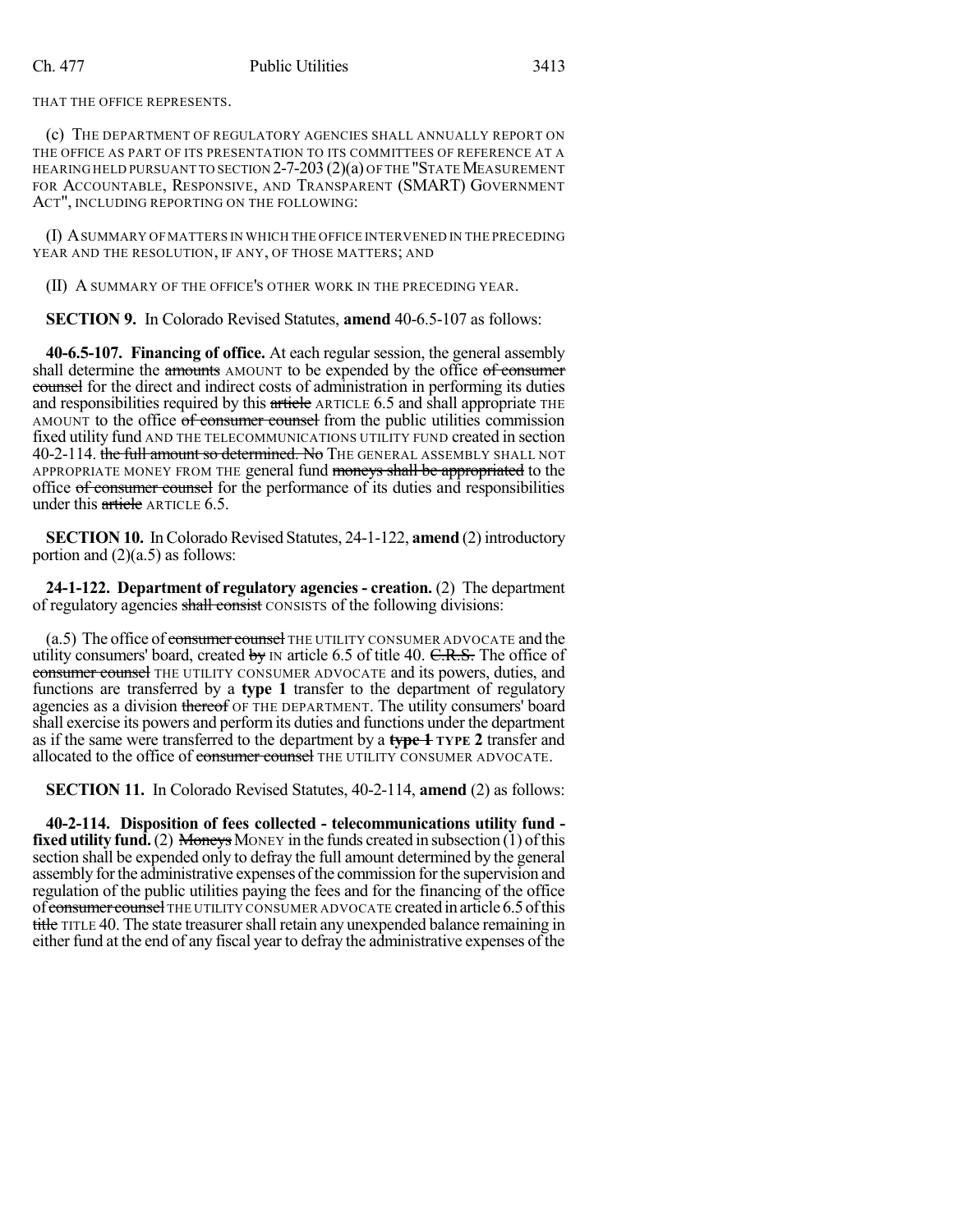THAT THE OFFICE REPRESENTS.

(c) THE DEPARTMENT OF REGULATORY AGENCIES SHALL ANNUALLY REPORT ON THE OFFICE AS PART OF ITS PRESENTATION TO ITS COMMITTEES OF REFERENCE AT A HEARING HELD PURSUANT TO SECTION  $2-7-203(2)(a)$  of the "State Measurement" FOR ACCOUNTABLE, RESPONSIVE, AND TRANSPARENT (SMART) GOVERNMENT ACT", INCLUDING REPORTING ON THE FOLLOWING:

(I) ASUMMARY OFMATTERS IN WHICH THE OFFICE INTERVENED IN THE PRECEDING YEAR AND THE RESOLUTION, IF ANY, OF THOSE MATTERS; AND

(II) A SUMMARY OF THE OFFICE'S OTHER WORK IN THE PRECEDING YEAR.

**SECTION 9.** In Colorado Revised Statutes, **amend** 40-6.5-107 as follows:

**40-6.5-107. Financing of office.** At each regular session, the general assembly shall determine the amounts AMOUNT to be expended by the office of consumer counsel for the direct and indirect costs of administration in performing its duties and responsibilities required by this article ARTICLE 6.5 and shall appropriate THE AMOUNT to the office of consumer counsel from the public utilities commission fixed utility fund AND THE TELECOMMUNICATIONS UTILITY FUND created in section 40-2-114. the full amount so determined. No THE GENERAL ASSEMBLY SHALL NOT APPROPRIATE MONEY FROM THE general fund moneys shall be appropriated to the office of consumer counsel for the performance of its duties and responsibilities under this article ARTICLE 6.5.

**SECTION 10.** In Colorado Revised Statutes, 24-1-122, amend (2) introductory portion and  $(2)(a.5)$  as follows:

**24-1-122. Department of regulatory agencies - creation.** (2) The department of regulatory agencies shall consist CONSISTS of the following divisions:

 $(a.5)$  The office of consumer counsel THE UTILITY CONSUMER ADVOCATE and the utility consumers' board, created by  $\text{IN}$  article 6.5 of title 40. C.R.S. The office of consumer counsel THE UTILITY CONSUMER ADVOCATE and its powers, duties, and functions are transferred by a **type 1** transfer to the department of regulatory agencies as a division thereof OF THE DEPARTMENT. The utility consumers' board shall exercise its powers and performits duties and functions under the department as if the same were transferred to the department by a **type 1 TYPE 2** transfer and allocated to the office of consumer counsel THE UTILITY CONSUMER ADVOCATE.

**SECTION 11.** In Colorado Revised Statutes, 40-2-114, **amend** (2) as follows:

**40-2-114. Disposition of fees collected - telecommunications utility fund fixed utility fund.** (2) Moneys MONEY in the funds created in subsection (1) of this section shall be expended only to defray the full amount determined by the general assembly forthe administrative expenses ofthe commission forthe supervision and regulation of the public utilities paying the fees and for the financing of the office of consumer counsel THE UTILITY CONSUMER ADVOCATE created in article 6.5 of this title TITLE 40. The state treasurer shall retain any unexpended balance remaining in either fund at the end of any fiscal year to defray the administrative expenses of the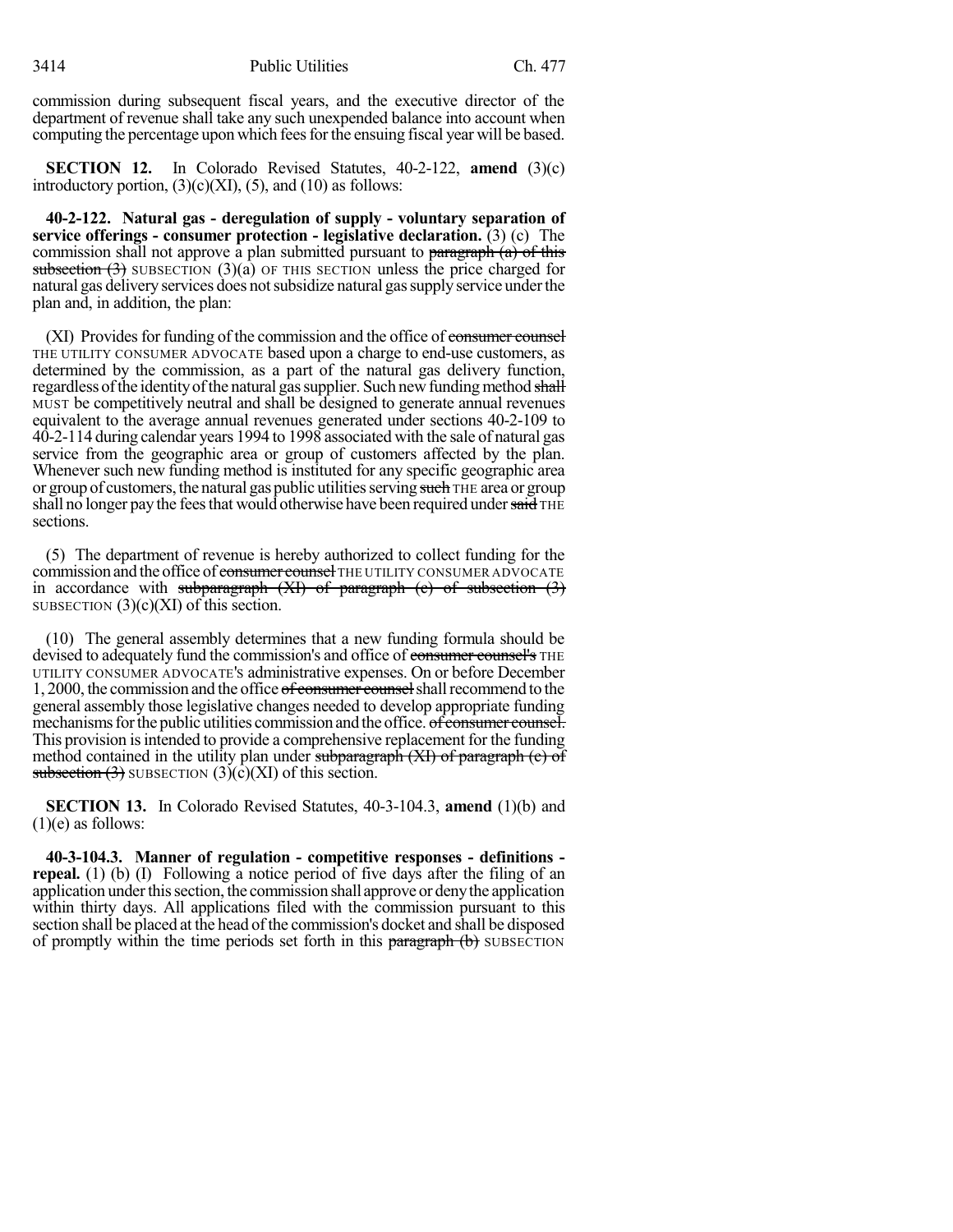commission during subsequent fiscal years, and the executive director of the department of revenue shall take any such unexpended balance into account when computing the percentage upon which feesforthe ensuing fiscal year will be based.

**SECTION 12.** In Colorado Revised Statutes, 40-2-122, **amend** (3)(c) introductory portion,  $(3)(c)(XI)$ ,  $(5)$ , and  $(10)$  as follows:

**40-2-122. Natural gas - deregulation of supply - voluntary separation of service offerings - consumer protection - legislative declaration.** (3) (c) The commission shall not approve a plan submitted pursuant to paragraph  $(a)$  of this subsection  $(3)$  SUBSECTION  $(3)(a)$  OF THIS SECTION unless the price charged for natural gas delivery services does not subsidize natural gas supply service under the plan and, in addition, the plan:

(XI) Provides for funding of the commission and the office of consumer counsel THE UTILITY CONSUMER ADVOCATE based upon a charge to end-use customers, as determined by the commission, as a part of the natural gas delivery function, regardless of the identity of the natural gas supplier. Such new funding method shall MUST be competitively neutral and shall be designed to generate annual revenues equivalent to the average annual revenues generated under sections 40-2-109 to 40-2-114 during calendar years 1994 to 1998 associated with the sale of natural gas service from the geographic area or group of customers affected by the plan. Whenever such new funding method is instituted for any specific geographic area or group of customers, the natural gas public utilities serving such THE area or group shall no longer pay the fees that would otherwise have been required under said THE sections.

(5) The department of revenue is hereby authorized to collect funding for the commission and the office of consumer counsel THE UTILITY CONSUMER ADVOCATE in accordance with subparagraph  $(XI)$  of paragraph  $(c)$  of subsection  $(3)$ SUBSECTION  $(3)(c)(XI)$  of this section.

(10) The general assembly determines that a new funding formula should be devised to adequately fund the commission's and office of consumer counsel's THE UTILITY CONSUMER ADVOCATE'S administrative expenses. On or before December 1, 2000, the commission and the office of consumer counsel shall recommend to the general assembly those legislative changes needed to develop appropriate funding mechanisms for the public utilities commission and the office. of consumer counsel. This provision is intended to provide a comprehensive replacement for the funding method contained in the utility plan under subparagraph (XI) of paragraph (c) of subsection  $(3)$  SUBSECTION  $(3)(c)(XI)$  of this section.

**SECTION 13.** In Colorado Revised Statutes, 40-3-104.3, **amend** (1)(b) and  $(1)(e)$  as follows:

**40-3-104.3. Manner of regulation - competitive responses - definitions repeal.** (1) (b) (I) Following a notice period of five days after the filing of an application under this section, the commission shall approve or deny the application within thirty days. All applications filed with the commission pursuant to this section shall be placed at the head of the commission's docket and shall be disposed of promptly within the time periods set forth in this paragraph (b) SUBSECTION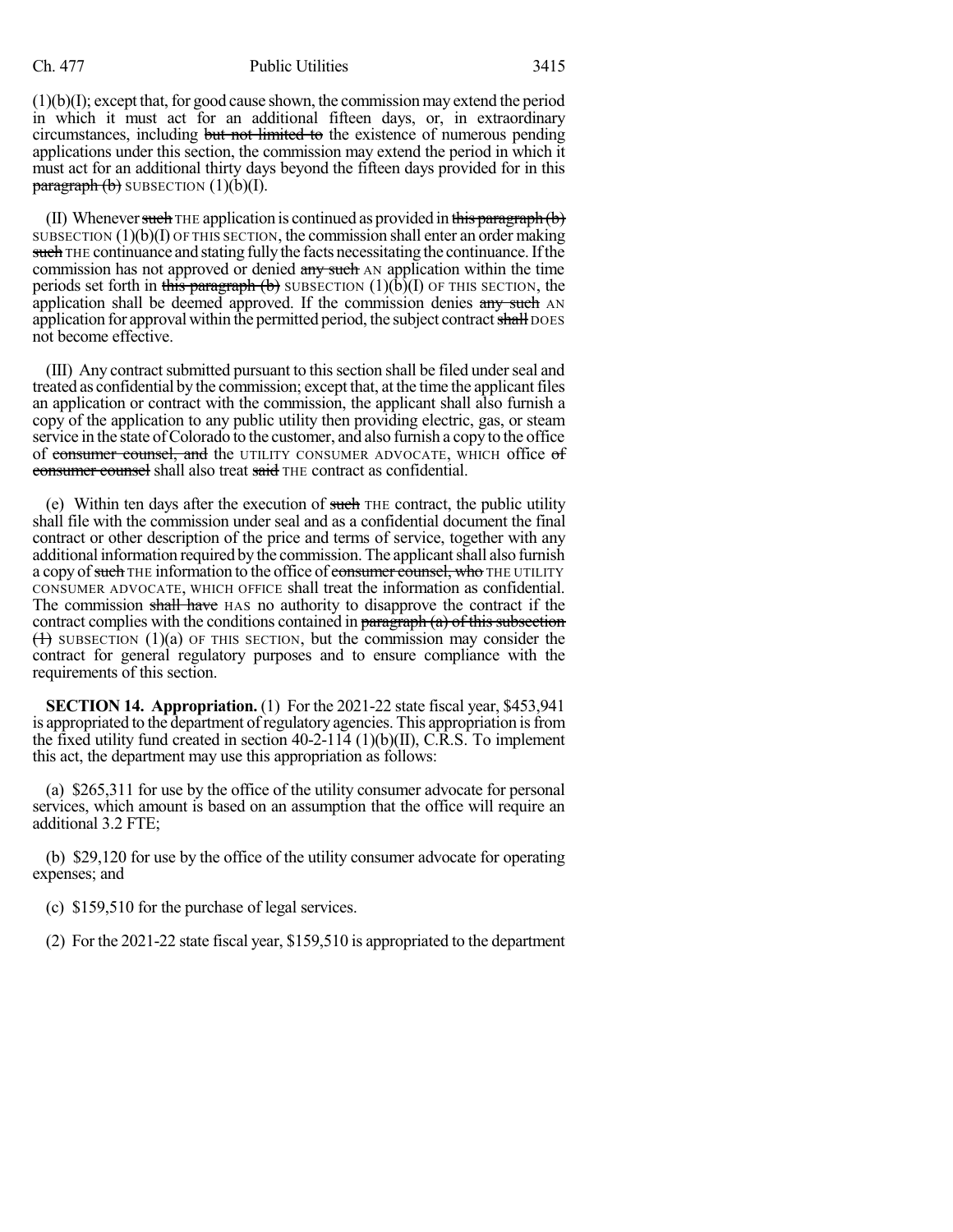## Ch. 477 Public Utilities 3415

 $(1)(b)(I)$ ; except that, for good cause shown, the commission may extend the period in which it must act for an additional fifteen days, or, in extraordinary circumstances, including but not limited to the existence of numerous pending applications under this section, the commission may extend the period in which it must act for an additional thirty days beyond the fifteen days provided for in this  $\frac{\text{param}}{\text{param}}(b)$  SUBSECTION  $(1)(b)(I)$ .

(II) Whenever such THE application is continued as provided in this paragraph  $(b)$ SUBSECTION  $(1)(b)(I)$  OF THIS SECTION, the commission shall enter an order making such THE continuance and stating fully the facts necessitating the continuance. If the commission has not approved or denied any such AN application within the time periods set forth in this paragraph (b) SUBSECTION  $(1)(b)(I)$  OF THIS SECTION, the application shall be deemed approved. If the commission denies  $\frac{any}{long}$  such AN application for approval within the permitted period, the subject contract shall DOES not become effective.

(III) Any contract submitted pursuant to this section shall be filed under seal and treated as confidential by the commission; except that, at the time the applicantfiles an application or contract with the commission, the applicant shall also furnish a copy of the application to any public utility then providing electric, gas, or steam service in the state of Colorado to the customer, and also furnish a copy to the office of consumer counsel, and the UTILITY CONSUMER ADVOCATE, WHICH office of consumer counsel shall also treat said THE contract as confidential.

(e) Within ten days after the execution of such THE contract, the public utility shall file with the commission under seal and as a confidential document the final contract or other description of the price and terms of service, together with any additional information required by the commission. The applicant shall also furnish a copy of such THE information to the office of consumer counsel, who THE UTILITY CONSUMER ADVOCATE, WHICH OFFICE shall treat the information as confidential. The commission shall have HAS no authority to disapprove the contract if the contract complies with the conditions contained in paragraph  $(a)$  of this subsection  $(1)$  SUBSECTION  $(1)(a)$  OF THIS SECTION, but the commission may consider the contract for general regulatory purposes and to ensure compliance with the requirements of this section.

**SECTION 14. Appropriation.** (1) For the 2021-22 state fiscal year, \$453,941 is appropriated to the department of regulatory agencies. This appropriation is from the fixed utility fund created in section 40-2-114 (1)(b)(II), C.R.S. To implement this act, the department may use this appropriation as follows:

(a) \$265,311 for use by the office of the utility consumer advocate for personal services, which amount is based on an assumption that the office will require an additional 3.2 FTE;

(b) \$29,120 for use by the office of the utility consumer advocate for operating expenses; and

(c) \$159,510 for the purchase of legal services.

(2) For the 2021-22 state fiscal year, \$159,510 is appropriated to the department